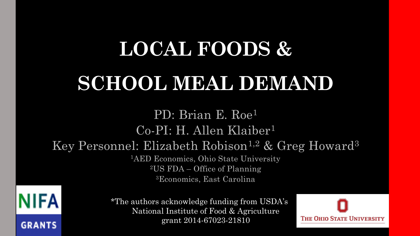# **LOCAL FOODS &**

# **SCHOOL MEAL DEMAND**

PD: Brian E. Roe<sup>1</sup> Co-PI: H. Allen Klaiber<sup>1</sup> Key Personnel: Elizabeth Robison<sup>1,2</sup> & Greg Howard<sup>3</sup> <sup>1</sup>AED Economics, Ohio State University <sup>2</sup>US FDA – Office of Planning <sup>3</sup>Economics, East Carolina

NIFA **GRANTS** 

\*The authors acknowledge funding from USDA's National Institute of Food & Agriculture grant 2014-67023-21810

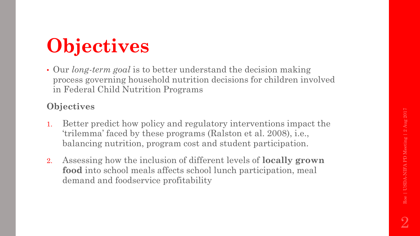# **Objectives**

• Our *long-term goal* is to better understand the decision making process governing household nutrition decisions for children involved in Federal Child Nutrition Programs

#### **Objectives**

- 1. Better predict how policy and regulatory interventions impact the 'trilemma' faced by these programs (Ralston et al. 2008), i.e., balancing nutrition, program cost and student participation.
- 2. Assessing how the inclusion of different levels of **locally grown food** into school meals affects school lunch participation, meal demand and foodservice profitability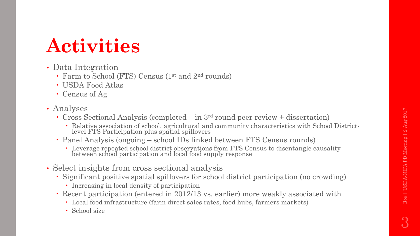3

### **Activities**

- Data Integration
	- Farm to School (FTS) Census (1<sup>st</sup> and 2<sup>nd</sup> rounds)
	- USDA Food Atlas
	- Census of Ag
- Analyses
	- Cross Sectional Analysis (completed in 3rd round peer review + dissertation)
		- Relative association of school, agricultural and community characteristics with School Districtlevel FTS Participation plus spatial spillovers
	- Panel Analysis (ongoing school IDs linked between FTS Census rounds)
		- Leverage repeated school district observations from FTS Census to disentangle causality between school participation and local food supply response
- Select insights from cross sectional analysis
	- Significant positive spatial spillovers for school district participation (no crowding)
		- Increasing in local density of participation
	- Recent participation (entered in 2012/13 vs. earlier) more weakly associated with
		- Local food infrastructure (farm direct sales rates, food hubs, farmers markets)
		- School size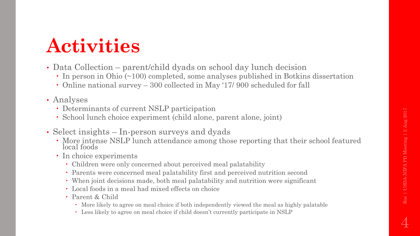# **Activities**

- Data Collection parent/child dyads on school day lunch decision
	- In person in Ohio (~100) completed, some analyses published in Botkins dissertation
	- Online national survey 300 collected in May '17/ 900 scheduled for fall
- Analyses
	- Determinants of current NSLP participation
	- School lunch choice experiment (child alone, parent alone, joint)
- Select insights In-person surveys and dyads
	- More intense NSLP lunch attendance among those reporting that their school featured local foods
	- In choice experiments
		- Children were only concerned about perceived meal palatability
		- Parents were concerned meal palatability first and perceived nutrition second
		- When joint decisions made, both meal palatability and nutrition were significant
		- Local foods in a meal had mixed effects on choice
		- Parent & Child
			- More likely to agree on meal choice if both independently viewed the meal as highly palatable
			- Less likely to agree on meal choice if child doesn't currently participate in NSLP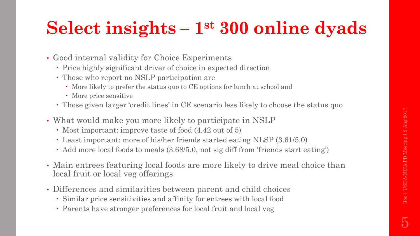### **Select insights – 1 st 300 online dyads**

- Good internal validity for Choice Experiments
	- Price highly significant driver of choice in expected direction
	- Those who report no NSLP participation are
		- More likely to prefer the status quo to CE options for lunch at school and
		- More price sensitive
	- Those given larger 'credit lines' in CE scenario less likely to choose the status quo
- What would make you more likely to participate in NSLP
	- Most important: improve taste of food  $(4.42 \text{ out of } 5)$
	- Least important: more of his/her friends started eating NLSP (3.61/5.0)
	- Add more local foods to meals (3.68/5.0, not sig diff from 'friends start eating')
- Main entrees featuring local foods are more likely to drive meal choice than local fruit or local veg offerings
- Differences and similarities between parent and child choices
	- Similar price sensitivities and affinity for entrees with local food
	- Parents have stronger preferences for local fruit and local veg